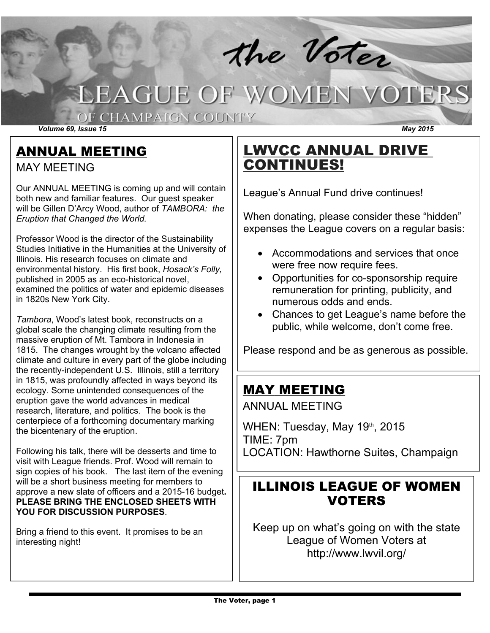# **LEAGUE OF WOMEN VOTERS**

#### OF CHAMPAIGN COUNTY

*Volume 69, Issue 15 May 2015*

ANNUAL MEETING

MAY MEETING

Our ANNUAL MEETING is coming up and will contain both new and familiar features. Our guest speaker will be Gillen D'Arcy Wood, author of *TAMBORA: the Eruption that Changed the World.*

Professor Wood is the director of the Sustainability Studies Initiative in the Humanities at the University of Illinois. His research focuses on climate and environmental history. His first book, *Hosack's Folly,* published in 2005 as an eco-historical novel, examined the politics of water and epidemic diseases in 1820s New York City.

*Tambora*, Wood's latest book, reconstructs on a global scale the changing climate resulting from the massive eruption of Mt. Tambora in Indonesia in 1815. The changes wrought by the volcano affected climate and culture in every part of the globe including the recently-independent U.S. Illinois, still a territory in 1815, was profoundly affected in ways beyond its ecology. Some unintended consequences of the eruption gave the world advances in medical research, literature, and politics. The book is the centerpiece of a forthcoming documentary marking the bicentenary of the eruption.

Following his talk, there will be desserts and time to visit with League friends. Prof. Wood will remain to sign copies of his book. The last item of the evening will be a short business meeting for members to approve a new slate of officers and a 2015-16 budget. **PLEASE BRING THE ENCLOSED SHEETS WITH YOU FOR DISCUSSION PURPOSES**.

Bring a friend to this event. It promises to be an interesting night!

## LWVCC ANNUAL DRIVE CONTINUES!

the Voter

League's Annual Fund drive continues!

When donating, please consider these "hidden" expenses the League covers on a regular basis:

- Accommodations and services that once were free now require fees.
- Opportunities for co-sponsorship require remuneration for printing, publicity, and numerous odds and ends.
- Chances to get League's name before the public, while welcome, don't come free.

Please respond and be as generous as possible.

## MAY MEETING

ANNUAL MEETING

WHEN: Tuesday, May 19th, 2015 TIME: 7pm LOCATION: Hawthorne Suites, Champaign

## ILLINOIS LEAGUE OF WOMEN VOTERS

Keep up on what's going on with the state League of Women Voters at http://www.lwvil.org/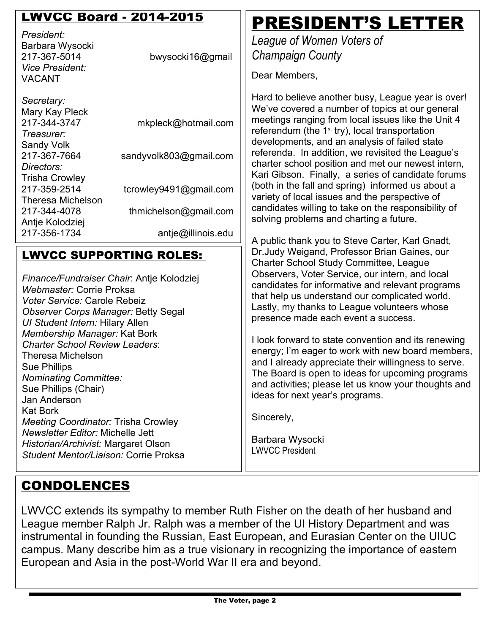## LWVCC Board - 2014-2015

*President:* Barbara Wysocki 217-367-5014 *Vice President:* VACANT

| bwysocki16@gmail |  |
|------------------|--|

*Secretary:* Mary Kay Pleck<br>217-344-3747 mkpleck@hotmail.com *Treasurer:* Sandy Volk 217-367-7664 sandyvolk803@gmail.com *Directors:* Trisha Crowley 2173592514 tcrowley9491@gmail.com Theresa Michelson 2173444078 thmichelson@gmail.com Antje Kolodziej 217-356-1734 antje@illinois.edu

#### LWVCC SUPPORTING ROLES:

*Finance/Fundraiser Chair*: Antje Kolodziej *Webmaster:* Corrie Proksa *Voter Service:* Carole Rebeiz *Observer Corps Manager:* Betty Segal *UI Student Intern:* Hilary Allen *Membership Manager:* Kat Bork *Charter School Review Leaders*: Theresa Michelson Sue Phillips *Nominating Committee:* Sue Phillips (Chair) Jan Anderson Kat Bork *Meeting Coordinator:* Trisha Crowley *Newsletter Editor:* Michelle Jett *Historian/Archivist:* Margaret Olson *Student Mentor/Liaison:* Corrie Proksa

## PRESIDENT'S LETTER

*League of Women Voters of Champaign County*

Dear Members,

Hard to believe another busy, League year is over! We've covered a number of topics at our general meetings ranging from local issues like the Unit 4 referendum (the  $1<sup>st</sup>$  try), local transportation developments, and an analysis of failed state referenda. In addition, we revisited the League's charter school position and met our newest intern, Kari Gibson. Finally, a series of candidate forums (both in the fall and spring) informed us about a variety of local issues and the perspective of candidates willing to take on the responsibility of solving problems and charting a future.

A public thank you to Steve Carter, Karl Gnadt, Dr.Judy Weigand, Professor Brian Gaines, our Charter School Study Committee, League Observers, Voter Service, our intern, and local candidates for informative and relevant programs that help us understand our complicated world. Lastly, my thanks to League volunteers whose presence made each event a success.

I look forward to state convention and its renewing energy; I'm eager to work with new board members, and I already appreciate their willingness to serve. The Board is open to ideas for upcoming programs and activities; please let us know your thoughts and ideas for next year's programs.

Sincerely,

Barbara Wysocki LWVCC President

## CONDOLENCES

LWVCC extends its sympathy to member Ruth Fisher on the death of her husband and League member Ralph Jr. Ralph was a member of the UI History Department and was instrumental in founding the Russian, East European, and Eurasian Center on the UIUC campus. Many describe him as a true visionary in recognizing the importance of eastern European and Asia in the post-World War II era and beyond.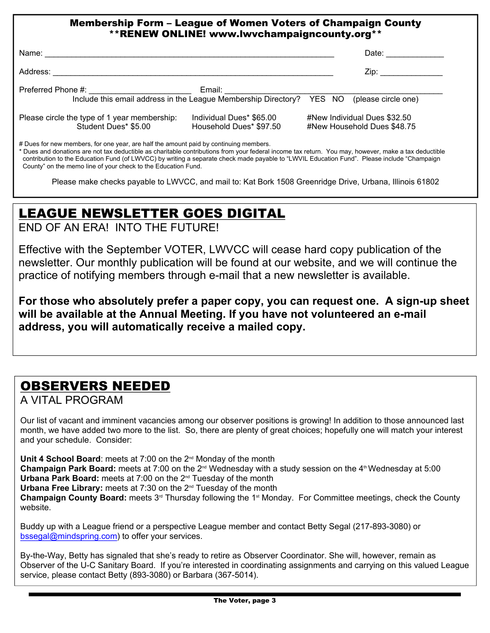#### Membership Form – League of Women Voters of Champaign County \*\*RENEW ONLINE! www.lwvchampaigncounty.org\*\*

| Name:                                                                                       |                                                     | Date:                                                       |  |
|---------------------------------------------------------------------------------------------|-----------------------------------------------------|-------------------------------------------------------------|--|
| Address:                                                                                    |                                                     | Zip:                                                        |  |
| Preferred Phone #:<br>Include this email address in the League Membership Directory? YES NO | Email:                                              | (please circle one)                                         |  |
| Please circle the type of 1 year membership:<br>Student Dues* \$5.00                        | Individual Dues* \$65.00<br>Household Dues* \$97.50 | #New Individual Dues \$32.50<br>#New Household Dues \$48.75 |  |

# Dues for new members, for one year, are half the amount paid by continuing members.

\* Dues and donations are not tax deductible as charitable contributions from your federal income tax return. You may, however, make a tax deductible contribution to the Education Fund (of LWVCC) by writing a separate check made payable to "LWVIL Education Fund". Please include "Champaign County" on the memo line of your check to the Education Fund.

Please make checks payable to LWVCC, and mail to: Kat Bork 1508 Greenridge Drive, Urbana, Illinois 61802

## LEAGUE NEWSLETTER GOES DIGITAL

END OF AN ERA! INTO THE FUTURE!

Effective with the September VOTER, LWVCC will cease hard copy publication of the newsletter. Our monthly publication will be found at our website, and we will continue the practice of notifying members through e-mail that a new newsletter is available.

**For those who absolutely prefer a paper copy, you can request one. A signup sheet will be available at the Annual Meeting. If you have not volunteered an email address, you will automatically receive a mailed copy.**

### OBSERVERS NEEDED

A VITAL PROGRAM

Our list of vacant and imminent vacancies among our observer positions is growing! In addition to those announced last month, we have added two more to the list. So, there are plenty of great choices; hopefully one will match your interest and your schedule. Consider:

**Unit 4 School Board**: meets at 7:00 on the 2nd Monday of the month **Champaign Park Board:** meets at 7:00 on the 2<sup>nd</sup> Wednesday with a study session on the 4<sup>th</sup> Wednesday at 5:00 **Urbana Park Board:** meets at 7:00 on the 2nd Tuesday of the month **Urbana Free Library:** meets at 7:30 on the 2nd Tuesday of the month **Champaign County Board:** meets 3rd Thursday following the 1st Monday. For Committee meetings, check the County website.

Buddy up with a League friend or a perspective League member and contact Betty Segal (217-893-3080) or bssegal@mindspring.com) to offer your services.

By-the-Way, Betty has signaled that she's ready to retire as Observer Coordinator. She will, however, remain as Observer of the U-C Sanitary Board. If you're interested in coordinating assignments and carrying on this valued League service, please contact Betty (893-3080) or Barbara (367-5014).